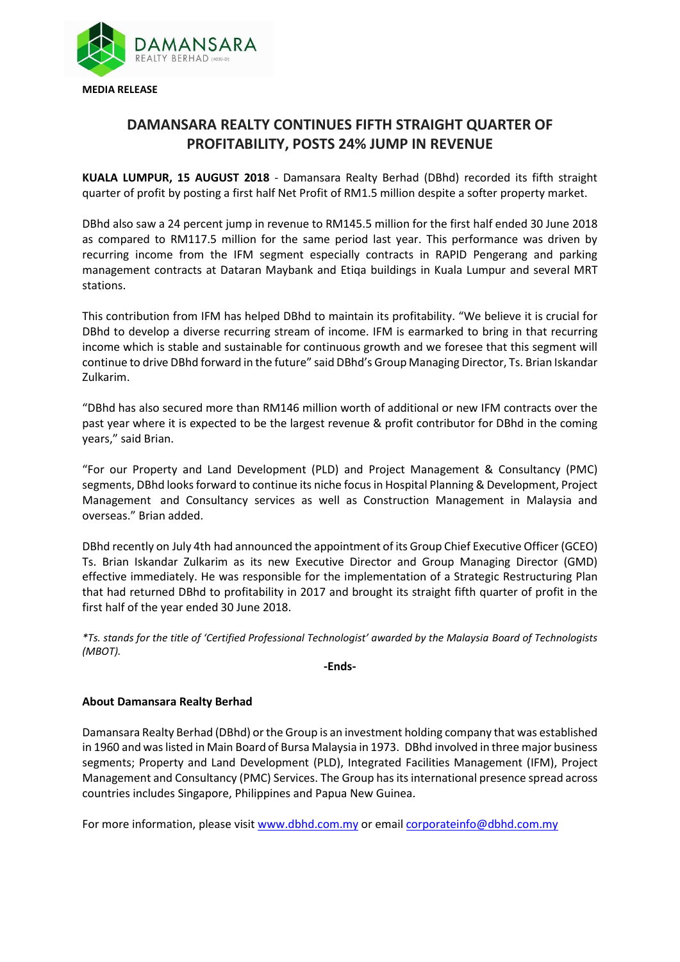

## **DAMANSARA REALTY CONTINUES FIFTH STRAIGHT QUARTER OF PROFITABILITY, POSTS 24% JUMP IN REVENUE**

**KUALA LUMPUR, 15 AUGUST 2018** - Damansara Realty Berhad (DBhd) recorded its fifth straight quarter of profit by posting a first half Net Profit of RM1.5 million despite a softer property market.

DBhd also saw a 24 percent jump in revenue to RM145.5 million for the first half ended 30 June 2018 as compared to RM117.5 million for the same period last year. This performance was driven by recurring income from the IFM segment especially contracts in RAPID Pengerang and parking management contracts at Dataran Maybank and Etiqa buildings in Kuala Lumpur and several MRT stations.

This contribution from IFM has helped DBhd to maintain its profitability. "We believe it is crucial for DBhd to develop a diverse recurring stream of income. IFM is earmarked to bring in that recurring income which is stable and sustainable for continuous growth and we foresee that this segment will continue to drive DBhd forward in the future" said DBhd's Group Managing Director, Ts. Brian Iskandar Zulkarim.

"DBhd has also secured more than RM146 million worth of additional or new IFM contracts over the past year where it is expected to be the largest revenue & profit contributor for DBhd in the coming years," said Brian.

"For our Property and Land Development (PLD) and Project Management & Consultancy (PMC) segments, DBhd looks forward to continue its niche focus in Hospital Planning & Development, Project Management and Consultancy services as well as Construction Management in Malaysia and overseas." Brian added.

DBhd recently on July 4th had announced the appointment of its Group Chief Executive Officer (GCEO) Ts. Brian Iskandar Zulkarim as its new Executive Director and Group Managing Director (GMD) effective immediately. He was responsible for the implementation of a Strategic Restructuring Plan that had returned DBhd to profitability in 2017 and brought its straight fifth quarter of profit in the first half of the year ended 30 June 2018.

*\*Ts. stands for the title of 'Certified Professional Technologist' awarded by the Malaysia Board of Technologists (MBOT).*

**-Ends-**

## **About Damansara Realty Berhad**

Damansara Realty Berhad (DBhd) or the Group is an investment holding company that was established in 1960 and was listed in Main Board of Bursa Malaysia in 1973. DBhd involved in three major business segments; Property and Land Development (PLD), Integrated Facilities Management (IFM), Project Management and Consultancy (PMC) Services. The Group has its international presence spread across countries includes Singapore, Philippines and Papua New Guinea.

For more information, please visi[t www.dbhd.com.my](http://www.dbhd.com.my/) or emai[l corporateinfo@dbhd.com.my](mailto:corporateinfo@dbhd.com.my)